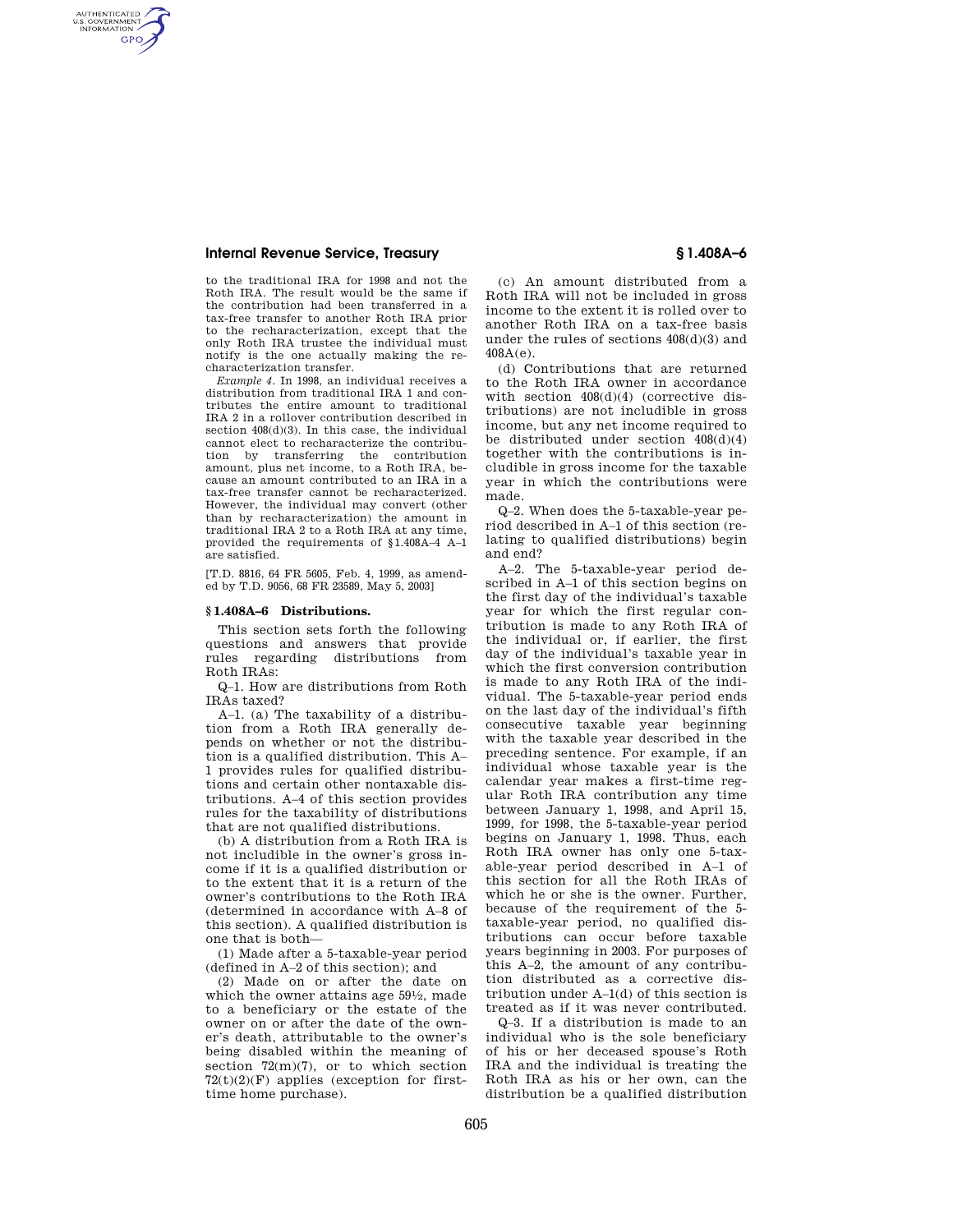AUTHENTICATED<br>U.S. GOVERNMENT<br>INFORMATION **GPO** 

> to the traditional IRA for 1998 and not the Roth IRA. The result would be the same if the contribution had been transferred in a tax-free transfer to another Roth IRA prior to the recharacterization, except that the only Roth IRA trustee the individual must notify is the one actually making the recharacterization transfer.

> *Example 4.* In 1998, an individual receives a distribution from traditional IRA 1 and contributes the entire amount to traditional IRA 2 in a rollover contribution described in section 408(d)(3). In this case, the individual cannot elect to recharacterize the contribution by transferring the contribution amount, plus net income, to a Roth IRA, because an amount contributed to an IRA in a tax-free transfer cannot be recharacterized. However, the individual may convert (other than by recharacterization) the amount in traditional IRA 2 to a Roth IRA at any time, provided the requirements of §1.408A–4 A–1 are satisfied.

[T.D. 8816, 64 FR 5605, Feb. 4, 1999, as amended by T.D. 9056, 68 FR 23589, May 5, 2003]

### **§ 1.408A–6 Distributions.**

This section sets forth the following questions and answers that provide rules regarding distributions from Roth IRAs:

Q–1. How are distributions from Roth IRAs taxed?

A–1. (a) The taxability of a distribution from a Roth IRA generally depends on whether or not the distribution is a qualified distribution. This A– 1 provides rules for qualified distributions and certain other nontaxable distributions. A–4 of this section provides rules for the taxability of distributions that are not qualified distributions.

(b) A distribution from a Roth IRA is not includible in the owner's gross income if it is a qualified distribution or to the extent that it is a return of the owner's contributions to the Roth IRA (determined in accordance with A–8 of this section). A qualified distribution is one that is both—

(1) Made after a 5-taxable-year period (defined in A–2 of this section); and

(2) Made on or after the date on which the owner attains age 591⁄2, made to a beneficiary or the estate of the owner on or after the date of the owner's death, attributable to the owner's being disabled within the meaning of section  $72(m)(7)$ , or to which section  $72(t)(2)(F)$  applies (exception for firsttime home purchase).

(c) An amount distributed from a Roth IRA will not be included in gross income to the extent it is rolled over to another Roth IRA on a tax-free basis under the rules of sections 408(d)(3) and 408A(e).

(d) Contributions that are returned to the Roth IRA owner in accordance with section 408(d)(4) (corrective distributions) are not includible in gross income, but any net income required to be distributed under section 408(d)(4) together with the contributions is includible in gross income for the taxable year in which the contributions were made.

Q–2. When does the 5-taxable-year period described in A–1 of this section (relating to qualified distributions) begin and end?

A–2. The 5-taxable-year period described in A–1 of this section begins on the first day of the individual's taxable year for which the first regular contribution is made to any Roth IRA of the individual or, if earlier, the first day of the individual's taxable year in which the first conversion contribution is made to any Roth IRA of the individual. The 5-taxable-year period ends on the last day of the individual's fifth consecutive taxable year beginning with the taxable year described in the preceding sentence. For example, if an individual whose taxable year is the calendar year makes a first-time regular Roth IRA contribution any time between January 1, 1998, and April 15, 1999, for 1998, the 5-taxable-year period begins on January 1, 1998. Thus, each Roth IRA owner has only one 5-taxable-year period described in A–1 of this section for all the Roth IRAs of which he or she is the owner. Further, because of the requirement of the 5 taxable-year period, no qualified distributions can occur before taxable years beginning in 2003. For purposes of this A–2, the amount of any contribution distributed as a corrective distribution under A–1(d) of this section is treated as if it was never contributed.

Q–3. If a distribution is made to an individual who is the sole beneficiary of his or her deceased spouse's Roth IRA and the individual is treating the Roth IRA as his or her own, can the distribution be a qualified distribution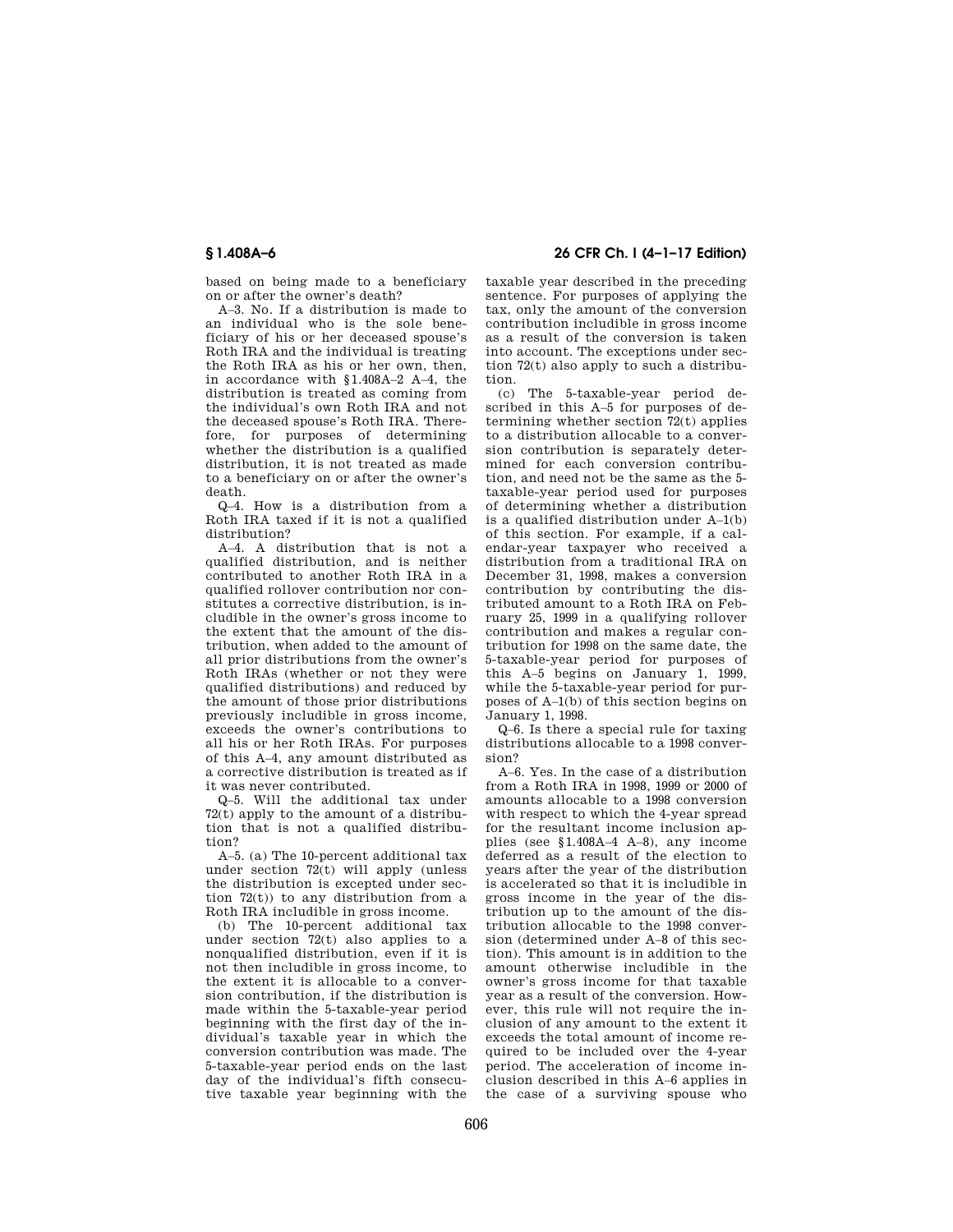based on being made to a beneficiary on or after the owner's death?

A–3. No. If a distribution is made to an individual who is the sole beneficiary of his or her deceased spouse's Roth IRA and the individual is treating the Roth IRA as his or her own, then, in accordance with §1.408A–2 A–4, the distribution is treated as coming from the individual's own Roth IRA and not the deceased spouse's Roth IRA. Therefore, for purposes of determining whether the distribution is a qualified distribution, it is not treated as made to a beneficiary on or after the owner's death.

Q–4. How is a distribution from a Roth IRA taxed if it is not a qualified distribution?

A–4. A distribution that is not a qualified distribution, and is neither contributed to another Roth IRA in a qualified rollover contribution nor constitutes a corrective distribution, is includible in the owner's gross income to the extent that the amount of the distribution, when added to the amount of all prior distributions from the owner's Roth IRAs (whether or not they were qualified distributions) and reduced by the amount of those prior distributions previously includible in gross income, exceeds the owner's contributions to all his or her Roth IRAs. For purposes of this A–4, any amount distributed as a corrective distribution is treated as if it was never contributed.

Q–5. Will the additional tax under 72(t) apply to the amount of a distribution that is not a qualified distribution?

A–5. (a) The 10-percent additional tax under section  $72(t)$  will apply (unless the distribution is excepted under section 72(t)) to any distribution from a Roth IRA includible in gross income.

(b) The 10-percent additional tax under section 72(t) also applies to a nonqualified distribution, even if it is not then includible in gross income, to the extent it is allocable to a conversion contribution, if the distribution is made within the 5-taxable-year period beginning with the first day of the individual's taxable year in which the conversion contribution was made. The 5-taxable-year period ends on the last day of the individual's fifth consecutive taxable year beginning with the

**§ 1.408A–6 26 CFR Ch. I (4–1–17 Edition)** 

taxable year described in the preceding sentence. For purposes of applying the tax, only the amount of the conversion contribution includible in gross income as a result of the conversion is taken into account. The exceptions under section 72(t) also apply to such a distribution.

(c) The 5-taxable-year period described in this A–5 for purposes of determining whether section 72(t) applies to a distribution allocable to a conversion contribution is separately determined for each conversion contribution, and need not be the same as the 5 taxable-year period used for purposes of determining whether a distribution is a qualified distribution under A–1(b) of this section. For example, if a calendar-year taxpayer who received a distribution from a traditional IRA on December 31, 1998, makes a conversion contribution by contributing the distributed amount to a Roth IRA on February 25, 1999 in a qualifying rollover contribution and makes a regular contribution for 1998 on the same date, the 5-taxable-year period for purposes of this A–5 begins on January 1, 1999, while the 5-taxable-year period for purposes of A–1(b) of this section begins on January 1, 1998.

Q–6. Is there a special rule for taxing distributions allocable to a 1998 conversion?

A–6. Yes. In the case of a distribution from a Roth IRA in 1998, 1999 or 2000 of amounts allocable to a 1998 conversion with respect to which the 4-year spread for the resultant income inclusion applies (see §1.408A–4 A–8), any income deferred as a result of the election to years after the year of the distribution is accelerated so that it is includible in gross income in the year of the distribution up to the amount of the distribution allocable to the 1998 conversion (determined under A–8 of this section). This amount is in addition to the amount otherwise includible in the owner's gross income for that taxable year as a result of the conversion. However, this rule will not require the inclusion of any amount to the extent it exceeds the total amount of income required to be included over the 4-year period. The acceleration of income inclusion described in this A–6 applies in the case of a surviving spouse who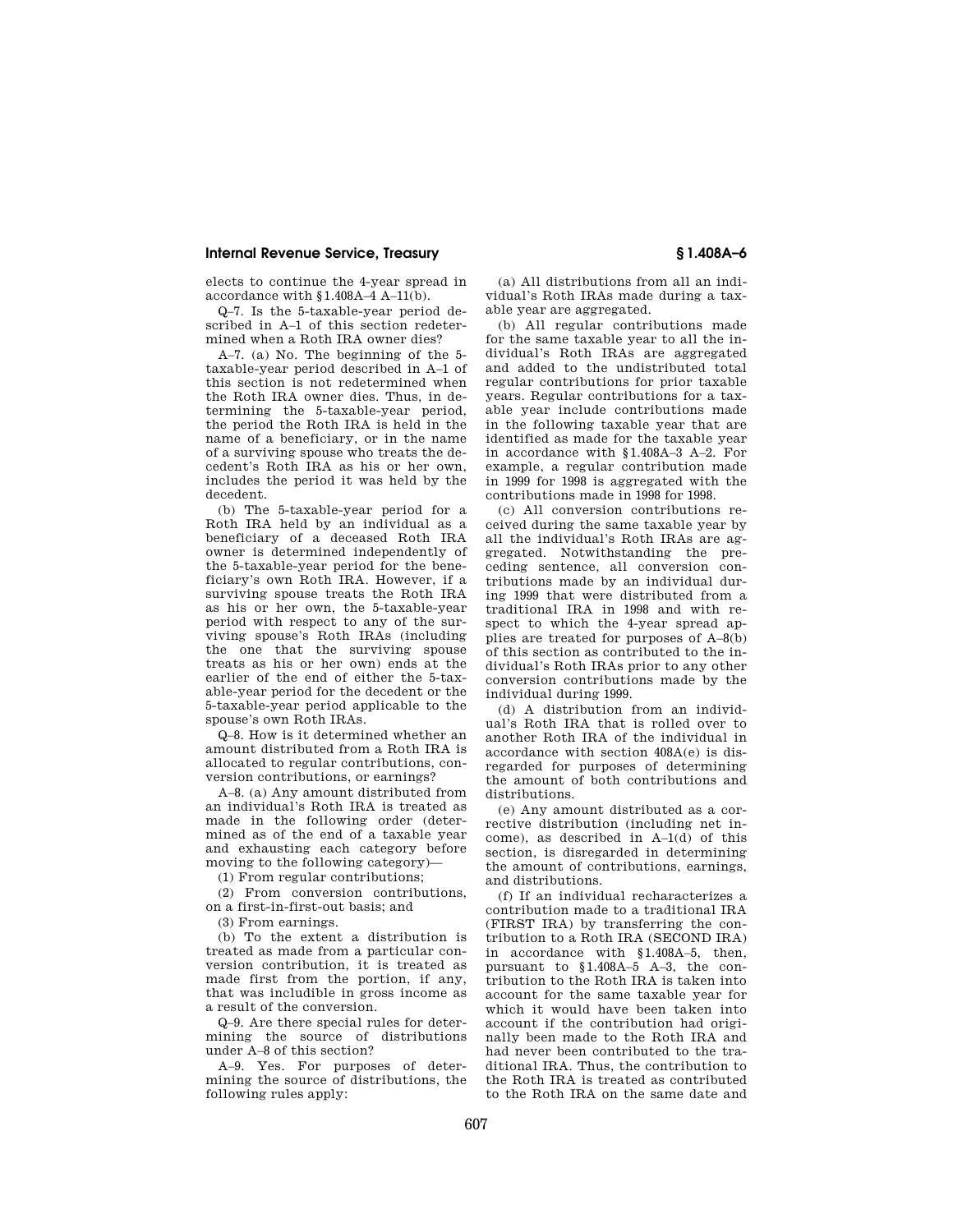elects to continue the 4-year spread in accordance with §1.408A–4 A–11(b).

Q–7. Is the 5-taxable-year period described in A–1 of this section redetermined when a Roth IRA owner dies?

A–7. (a) No. The beginning of the 5 taxable-year period described in A–1 of this section is not redetermined when the Roth IRA owner dies. Thus, in determining the 5-taxable-year period, the period the Roth IRA is held in the name of a beneficiary, or in the name of a surviving spouse who treats the decedent's Roth IRA as his or her own, includes the period it was held by the decedent.

(b) The 5-taxable-year period for a Roth IRA held by an individual as a beneficiary of a deceased Roth IRA owner is determined independently of the 5-taxable-year period for the beneficiary's own Roth IRA. However, if a surviving spouse treats the Roth IRA as his or her own, the 5-taxable-year period with respect to any of the surviving spouse's Roth IRAs (including the one that the surviving spouse treats as his or her own) ends at the earlier of the end of either the 5-taxable-year period for the decedent or the 5-taxable-year period applicable to the spouse's own Roth IRAs.

Q–8. How is it determined whether an amount distributed from a Roth IRA is allocated to regular contributions, conversion contributions, or earnings?

A–8. (a) Any amount distributed from an individual's Roth IRA is treated as made in the following order (determined as of the end of a taxable year and exhausting each category before moving to the following category)—

(1) From regular contributions;

(2) From conversion contributions, on a first-in-first-out basis; and

(3) From earnings.

(b) To the extent a distribution is treated as made from a particular conversion contribution, it is treated as made first from the portion, if any, that was includible in gross income as a result of the conversion.

Q–9. Are there special rules for determining the source of distributions under A–8 of this section?

A–9. Yes. For purposes of determining the source of distributions, the following rules apply:

(a) All distributions from all an individual's Roth IRAs made during a taxable year are aggregated.

(b) All regular contributions made for the same taxable year to all the individual's Roth IRAs are aggregated and added to the undistributed total regular contributions for prior taxable years. Regular contributions for a taxable year include contributions made in the following taxable year that are identified as made for the taxable year in accordance with §1.408A–3 A–2. For example, a regular contribution made in 1999 for 1998 is aggregated with the contributions made in 1998 for 1998.

(c) All conversion contributions received during the same taxable year by all the individual's Roth IRAs are aggregated. Notwithstanding the preceding sentence, all conversion contributions made by an individual during 1999 that were distributed from a traditional IRA in 1998 and with respect to which the 4-year spread applies are treated for purposes of A–8(b) of this section as contributed to the individual's Roth IRAs prior to any other conversion contributions made by the individual during 1999.

(d) A distribution from an individual's Roth IRA that is rolled over to another Roth IRA of the individual in accordance with section 408A(e) is disregarded for purposes of determining the amount of both contributions and distributions.

(e) Any amount distributed as a corrective distribution (including net income), as described in A–1(d) of this section, is disregarded in determining the amount of contributions, earnings, and distributions.

(f) If an individual recharacterizes a contribution made to a traditional IRA (FIRST IRA) by transferring the contribution to a Roth IRA (SECOND IRA) in accordance with §1.408A–5, then, pursuant to §1.408A–5 A–3, the contribution to the Roth IRA is taken into account for the same taxable year for which it would have been taken into account if the contribution had originally been made to the Roth IRA and had never been contributed to the traditional IRA. Thus, the contribution to the Roth IRA is treated as contributed to the Roth IRA on the same date and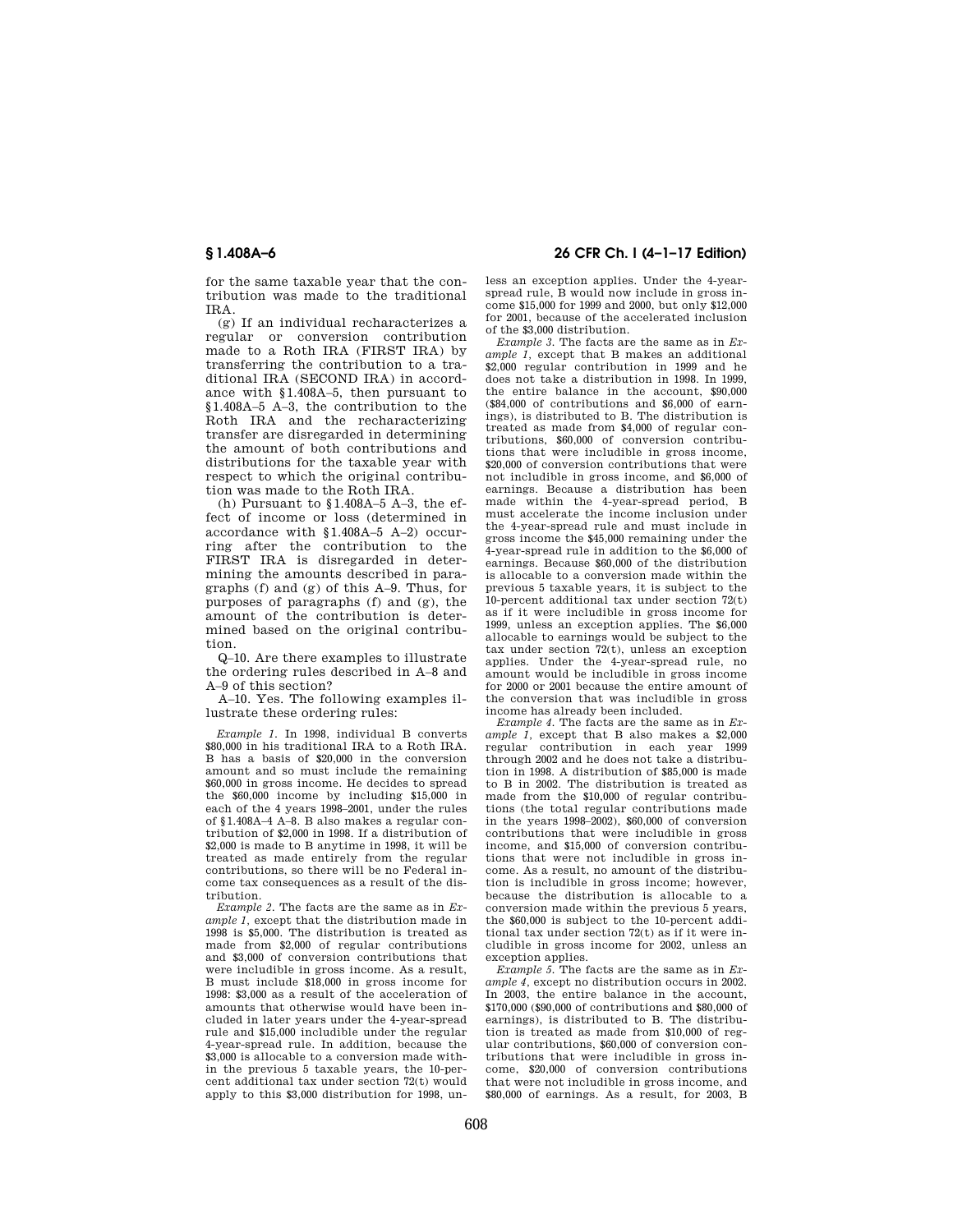for the same taxable year that the contribution was made to the traditional IRA.

(g) If an individual recharacterizes a regular or conversion contribution made to a Roth IRA (FIRST IRA) by transferring the contribution to a traditional IRA (SECOND IRA) in accordance with §1.408A–5, then pursuant to §1.408A–5 A–3, the contribution to the Roth IRA and the recharacterizing transfer are disregarded in determining the amount of both contributions and distributions for the taxable year with respect to which the original contribution was made to the Roth IRA.

(h) Pursuant to §1.408A–5 A–3, the effect of income or loss (determined in accordance with §1.408A–5 A–2) occurring after the contribution to the FIRST IRA is disregarded in determining the amounts described in paragraphs (f) and (g) of this A–9. Thus, for purposes of paragraphs (f) and (g), the amount of the contribution is determined based on the original contribution.

Q–10. Are there examples to illustrate the ordering rules described in A–8 and A–9 of this section?

A–10. Yes. The following examples illustrate these ordering rules:

*Example 1.* In 1998, individual B converts \$80,000 in his traditional IRA to a Roth IRA. B has a basis of \$20,000 in the conversion amount and so must include the remaining \$60,000 in gross income. He decides to spread the \$60,000 income by including \$15,000 in each of the 4 years 1998–2001, under the rules of §1.408A–4 A–8. B also makes a regular contribution of \$2,000 in 1998. If a distribution of \$2,000 is made to B anytime in 1998, it will be treated as made entirely from the regular contributions, so there will be no Federal income tax consequences as a result of the distribution.

*Example 2.* The facts are the same as in *Example 1,* except that the distribution made in 1998 is \$5,000. The distribution is treated as made from \$2,000 of regular contributions and \$3,000 of conversion contributions that were includible in gross income. As a result, B must include \$18,000 in gross income for 1998: \$3,000 as a result of the acceleration of amounts that otherwise would have been included in later years under the 4-year-spread rule and \$15,000 includible under the regular 4-year-spread rule. In addition, because the \$3,000 is allocable to a conversion made within the previous 5 taxable years, the 10-percent additional tax under section 72(t) would apply to this \$3,000 distribution for 1998, un-

## **§ 1.408A–6 26 CFR Ch. I (4–1–17 Edition)**

less an exception applies. Under the 4-yearspread rule, B would now include in gross income \$15,000 for 1999 and 2000, but only \$12,000 for 2001, because of the accelerated inclusion of the \$3,000 distribution.

*Example 3.* The facts are the same as in *Example 1,* except that B makes an additional \$2,000 regular contribution in 1999 and he does not take a distribution in 1998. In 1999, the entire balance in the account, \$90,000 (\$84,000 of contributions and \$6,000 of earnings), is distributed to B. The distribution is treated as made from \$4,000 of regular contributions, \$60,000 of conversion contributions that were includible in gross income, \$20,000 of conversion contributions that were not includible in gross income, and \$6,000 of earnings. Because a distribution has been made within the 4-year-spread period, B must accelerate the income inclusion under the 4-year-spread rule and must include in gross income the \$45,000 remaining under the 4-year-spread rule in addition to the \$6,000 of earnings. Because \$60,000 of the distribution is allocable to a conversion made within the previous 5 taxable years, it is subject to the 10-percent additional tax under section 72(t) as if it were includible in gross income for 1999, unless an exception applies. The \$6,000 allocable to earnings would be subject to the tax under section  $72(t)$ , unless an exception applies. Under the 4-year-spread rule, no amount would be includible in gross income for 2000 or 2001 because the entire amount of the conversion that was includible in gross income has already been included.

*Example 4.* The facts are the same as in *Example 1,* except that B also makes a \$2,000 regular contribution in each year 1999 through 2002 and he does not take a distribution in 1998. A distribution of \$85,000 is made to B in 2002. The distribution is treated as made from the \$10,000 of regular contributions (the total regular contributions made in the years 1998–2002), \$60,000 of conversion contributions that were includible in gross income, and \$15,000 of conversion contributions that were not includible in gross income. As a result, no amount of the distribution is includible in gross income; however, because the distribution is allocable to a conversion made within the previous 5 years, the \$60,000 is subject to the 10-percent additional tax under section 72(t) as if it were includible in gross income for 2002, unless an exception applies.

*Example 5.* The facts are the same as in *Example 4,* except no distribution occurs in 2002. In 2003, the entire balance in the account, \$170,000 (\$90,000 of contributions and \$80,000 of earnings), is distributed to B. The distribution is treated as made from \$10,000 of regular contributions, \$60,000 of conversion contributions that were includible in gross income, \$20,000 of conversion contributions that were not includible in gross income, and \$80,000 of earnings. As a result, for 2003, B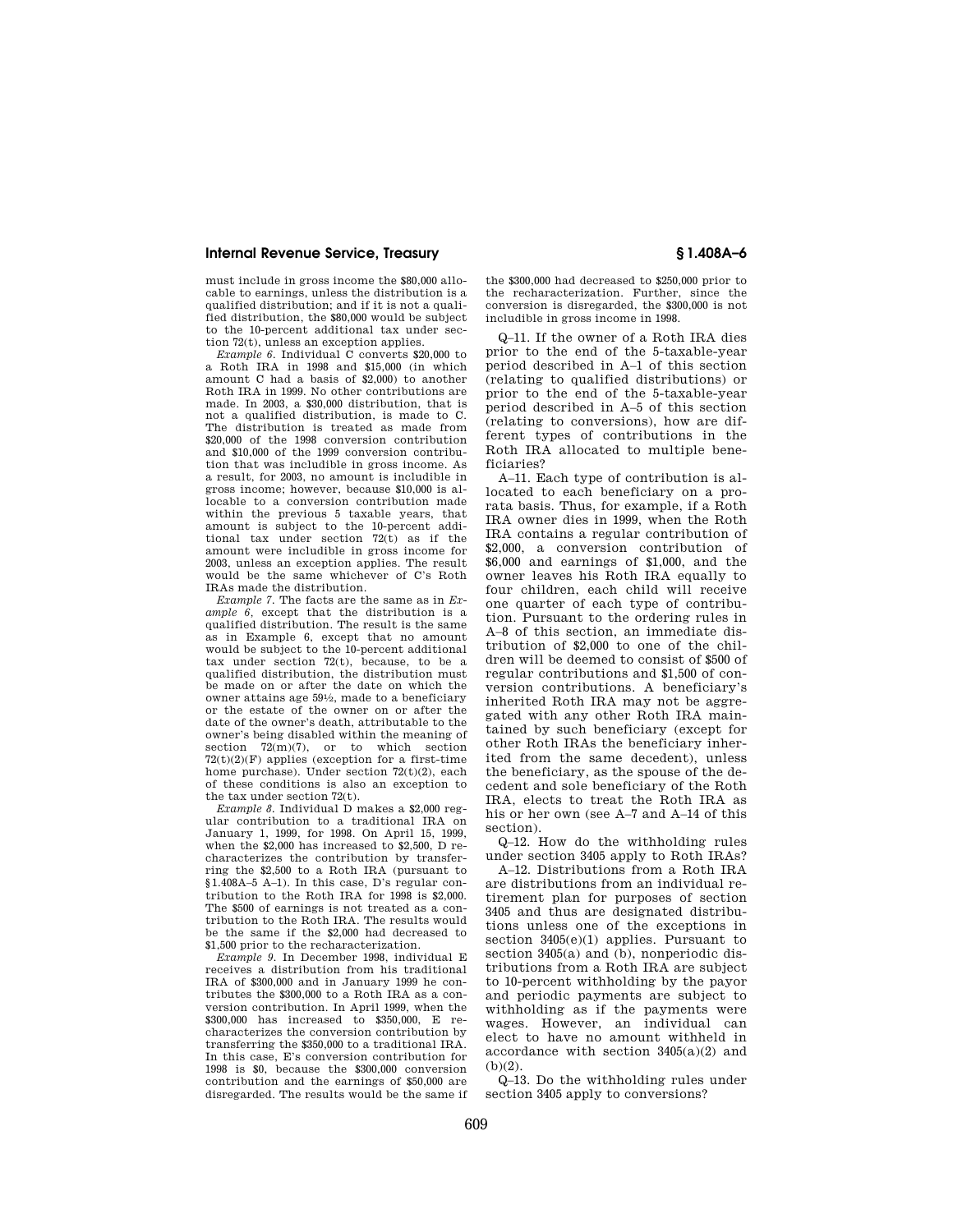must include in gross income the \$80,000 allocable to earnings, unless the distribution is a qualified distribution; and if it is not a qualified distribution, the \$80,000 would be subject to the 10-percent additional tax under section 72(t), unless an exception applies.

*Example 6.* Individual C converts \$20,000 to a Roth IRA in 1998 and \$15,000 (in which amount C had a basis of \$2,000) to another Roth IRA in 1999. No other contributions are made. In 2003, a \$30,000 distribution, that is not a qualified distribution, is made to C. The distribution is treated as made from \$20,000 of the 1998 conversion contribution and \$10,000 of the 1999 conversion contribution that was includible in gross income. As a result, for 2003, no amount is includible in gross income; however, because \$10,000 is allocable to a conversion contribution made within the previous 5 taxable years, that amount is subject to the 10-percent additional tax under section  $72(t)$  as if the amount were includible in gross income for 2003, unless an exception applies. The result would be the same whichever of C's Roth IRAs made the distribution.

*Example 7.* The facts are the same as in *Example 6,* except that the distribution is a qualified distribution. The result is the same as in Example 6, except that no amount would be subject to the 10-percent additional tax under section  $72(t)$ , because, to be a qualified distribution, the distribution must be made on or after the date on which the owner attains age 591⁄2, made to a beneficiary or the estate of the owner on or after the date of the owner's death, attributable to the owner's being disabled within the meaning of section 72(m)(7), or to which section  $72(t)(2)(F)$  applies (exception for a first-time home purchase). Under section 72(t)(2), each of these conditions is also an exception to the tax under section 72(t).

*Example 8.* Individual D makes a \$2,000 regular contribution to a traditional IRA on January 1, 1999, for 1998. On April 15, 1999, when the \$2,000 has increased to \$2,500, D recharacterizes the contribution by transferring the \$2,500 to a Roth IRA (pursuant to §1.408A–5 A–1). In this case, D's regular contribution to the Roth IRA for 1998 is \$2,000. The \$500 of earnings is not treated as a contribution to the Roth IRA. The results would be the same if the \$2,000 had decreased to \$1,500 prior to the recharacterization.

*Example 9.* In December 1998, individual E receives a distribution from his traditional IRA of \$300,000 and in January 1999 he contributes the \$300,000 to a Roth IRA as a conversion contribution. In April 1999, when the \$300,000 has increased to \$350,000, E recharacterizes the conversion contribution by transferring the \$350,000 to a traditional IRA. In this case, E's conversion contribution for 1998 is \$0, because the \$300,000 conversion contribution and the earnings of \$50,000 are disregarded. The results would be the same if

the \$300,000 had decreased to \$250,000 prior to the recharacterization. Further, since the conversion is disregarded, the \$300,000 is not includible in gross income in 1998.

Q–11. If the owner of a Roth IRA dies prior to the end of the 5-taxable-year period described in A–1 of this section (relating to qualified distributions) or prior to the end of the 5-taxable-year period described in A–5 of this section (relating to conversions), how are different types of contributions in the Roth IRA allocated to multiple beneficiaries?

A–11. Each type of contribution is allocated to each beneficiary on a prorata basis. Thus, for example, if a Roth IRA owner dies in 1999, when the Roth IRA contains a regular contribution of \$2,000, a conversion contribution of \$6,000 and earnings of \$1,000, and the owner leaves his Roth IRA equally to four children, each child will receive one quarter of each type of contribution. Pursuant to the ordering rules in A–8 of this section, an immediate distribution of \$2,000 to one of the children will be deemed to consist of \$500 of regular contributions and \$1,500 of conversion contributions. A beneficiary's inherited Roth IRA may not be aggregated with any other Roth IRA maintained by such beneficiary (except for other Roth IRAs the beneficiary inherited from the same decedent), unless the beneficiary, as the spouse of the decedent and sole beneficiary of the Roth IRA, elects to treat the Roth IRA as his or her own (see A–7 and A–14 of this section).

Q–12. How do the withholding rules under section 3405 apply to Roth IRAs?

A–12. Distributions from a Roth IRA are distributions from an individual retirement plan for purposes of section 3405 and thus are designated distributions unless one of the exceptions in section 3405(e)(1) applies. Pursuant to section 3405(a) and (b), nonperiodic distributions from a Roth IRA are subject to 10-percent withholding by the payor and periodic payments are subject to withholding as if the payments were wages. However, an individual can elect to have no amount withheld in accordance with section  $3405(a)(2)$  and  $(h)(2)$ .

Q–13. Do the withholding rules under section 3405 apply to conversions?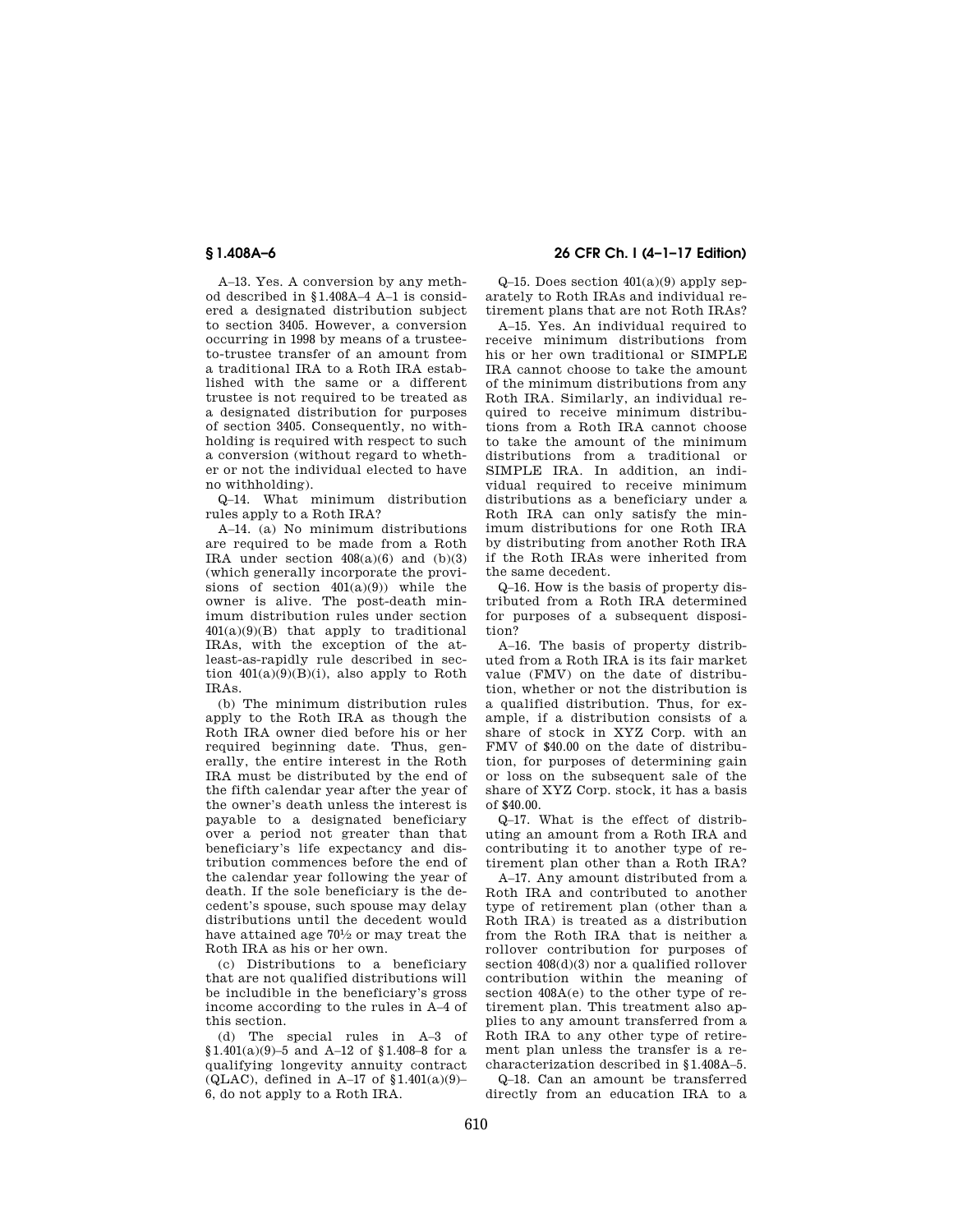A–13. Yes. A conversion by any method described in §1.408A–4 A–1 is considered a designated distribution subject to section 3405. However, a conversion occurring in 1998 by means of a trusteeto-trustee transfer of an amount from a traditional IRA to a Roth IRA established with the same or a different trustee is not required to be treated as a designated distribution for purposes of section 3405. Consequently, no withholding is required with respect to such a conversion (without regard to whether or not the individual elected to have no withholding).

Q–14. What minimum distribution rules apply to a Roth IRA?

A–14. (a) No minimum distributions are required to be made from a Roth IRA under section  $408(a)(6)$  and  $(b)(3)$ (which generally incorporate the provisions of section  $401(a)(9)$  while the owner is alive. The post-death minimum distribution rules under section 401(a)(9)(B) that apply to traditional IRAs, with the exception of the atleast-as-rapidly rule described in section  $401(a)(9)(B)(i)$ , also apply to Roth IRAs.

(b) The minimum distribution rules apply to the Roth IRA as though the Roth IRA owner died before his or her required beginning date. Thus, generally, the entire interest in the Roth IRA must be distributed by the end of the fifth calendar year after the year of the owner's death unless the interest is payable to a designated beneficiary over a period not greater than that beneficiary's life expectancy and distribution commences before the end of the calendar year following the year of death. If the sole beneficiary is the decedent's spouse, such spouse may delay distributions until the decedent would have attained age 701⁄2 or may treat the Roth IRA as his or her own.

(c) Distributions to a beneficiary that are not qualified distributions will be includible in the beneficiary's gross income according to the rules in A–4 of this section.

(d) The special rules in A–3 of §1.401(a)(9)–5 and A–12 of §1.408–8 for a qualifying longevity annuity contract (QLAC), defined in A–17 of §1.401(a)(9)– 6, do not apply to a Roth IRA.

# **§ 1.408A–6 26 CFR Ch. I (4–1–17 Edition)**

 $Q-15$ . Does section  $401(a)(9)$  apply separately to Roth IRAs and individual retirement plans that are not Roth IRAs?

A–15. Yes. An individual required to receive minimum distributions from his or her own traditional or SIMPLE IRA cannot choose to take the amount of the minimum distributions from any Roth IRA. Similarly, an individual required to receive minimum distributions from a Roth IRA cannot choose to take the amount of the minimum distributions from a traditional or SIMPLE IRA. In addition, an individual required to receive minimum distributions as a beneficiary under a Roth IRA can only satisfy the minimum distributions for one Roth IRA by distributing from another Roth IRA if the Roth IRAs were inherited from the same decedent.

Q–16. How is the basis of property distributed from a Roth IRA determined for purposes of a subsequent disposition?

A–16. The basis of property distributed from a Roth IRA is its fair market value (FMV) on the date of distribution, whether or not the distribution is a qualified distribution. Thus, for example, if a distribution consists of a share of stock in XYZ Corp. with an FMV of \$40.00 on the date of distribution, for purposes of determining gain or loss on the subsequent sale of the share of XYZ Corp. stock, it has a basis of \$40.00.

Q–17. What is the effect of distributing an amount from a Roth IRA and contributing it to another type of retirement plan other than a Roth IRA?

A–17. Any amount distributed from a Roth IRA and contributed to another type of retirement plan (other than a Roth IRA) is treated as a distribution from the Roth IRA that is neither a rollover contribution for purposes of section 408(d)(3) nor a qualified rollover contribution within the meaning of section 408A(e) to the other type of retirement plan. This treatment also applies to any amount transferred from a Roth IRA to any other type of retirement plan unless the transfer is a recharacterization described in §1.408A–5.

Q–18. Can an amount be transferred directly from an education IRA to a